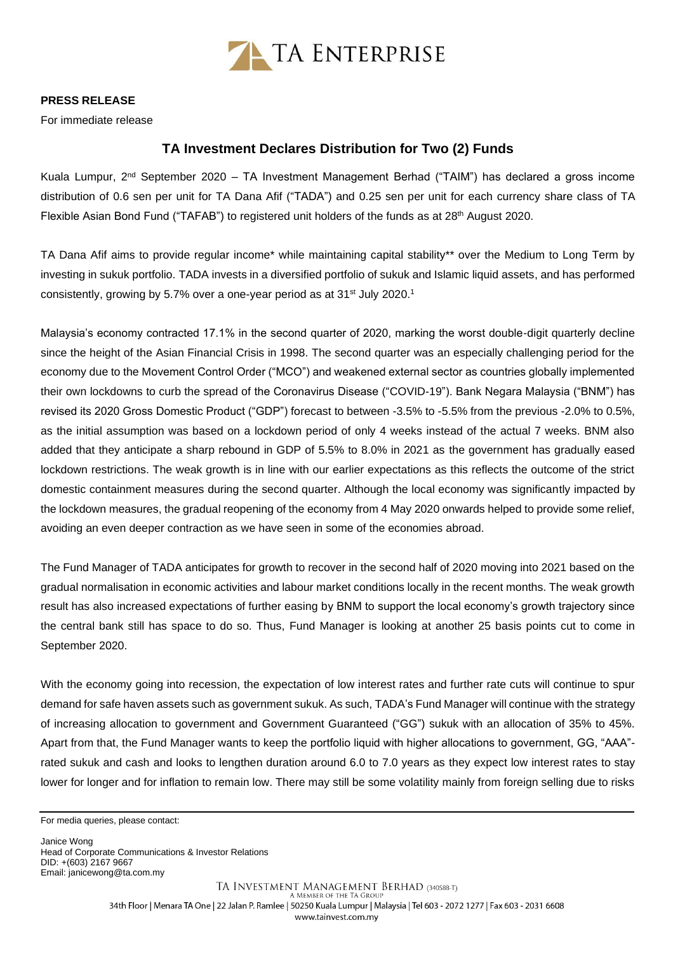

## **PRESS RELEASE**

For immediate release

## **TA Investment Declares Distribution for Two (2) Funds**

Kuala Lumpur, 2<sup>nd</sup> September 2020 – TA Investment Management Berhad ("TAIM") has declared a gross income distribution of 0.6 sen per unit for TA Dana Afif ("TADA") and 0.25 sen per unit for each currency share class of TA Flexible Asian Bond Fund ("TAFAB") to registered unit holders of the funds as at 28<sup>th</sup> August 2020.

TA Dana Afif aims to provide regular income\* while maintaining capital stability\*\* over the Medium to Long Term by investing in sukuk portfolio. TADA invests in a diversified portfolio of sukuk and Islamic liquid assets, and has performed consistently, growing by 5.7% over a one-year period as at 31<sup>st</sup> July 2020.<sup>1</sup>

Malaysia's economy contracted 17.1% in the second quarter of 2020, marking the worst double-digit quarterly decline since the height of the Asian Financial Crisis in 1998. The second quarter was an especially challenging period for the economy due to the Movement Control Order ("MCO") and weakened external sector as countries globally implemented their own lockdowns to curb the spread of the Coronavirus Disease ("COVID-19"). Bank Negara Malaysia ("BNM") has revised its 2020 Gross Domestic Product ("GDP") forecast to between -3.5% to -5.5% from the previous -2.0% to 0.5%, as the initial assumption was based on a lockdown period of only 4 weeks instead of the actual 7 weeks. BNM also added that they anticipate a sharp rebound in GDP of 5.5% to 8.0% in 2021 as the government has gradually eased lockdown restrictions. The weak growth is in line with our earlier expectations as this reflects the outcome of the strict domestic containment measures during the second quarter. Although the local economy was significantly impacted by the lockdown measures, the gradual reopening of the economy from 4 May 2020 onwards helped to provide some relief, avoiding an even deeper contraction as we have seen in some of the economies abroad.

The Fund Manager of TADA anticipates for growth to recover in the second half of 2020 moving into 2021 based on the gradual normalisation in economic activities and labour market conditions locally in the recent months. The weak growth result has also increased expectations of further easing by BNM to support the local economy's growth trajectory since the central bank still has space to do so. Thus, Fund Manager is looking at another 25 basis points cut to come in September 2020.

With the economy going into recession, the expectation of low interest rates and further rate cuts will continue to spur demand for safe haven assets such as government sukuk. As such, TADA's Fund Manager will continue with the strategy of increasing allocation to government and Government Guaranteed ("GG") sukuk with an allocation of 35% to 45%. Apart from that, the Fund Manager wants to keep the portfolio liquid with higher allocations to government, GG, "AAA" rated sukuk and cash and looks to lengthen duration around 6.0 to 7.0 years as they expect low interest rates to stay lower for longer and for inflation to remain low. There may still be some volatility mainly from foreign selling due to risks

Janice Wong Head of Corporate Communications & Investor Relations DID: +(603) 2167 9667 Email[: janicewong@ta.com.my](mailto:janicewong@ta.com.my)

For media queries, please contact: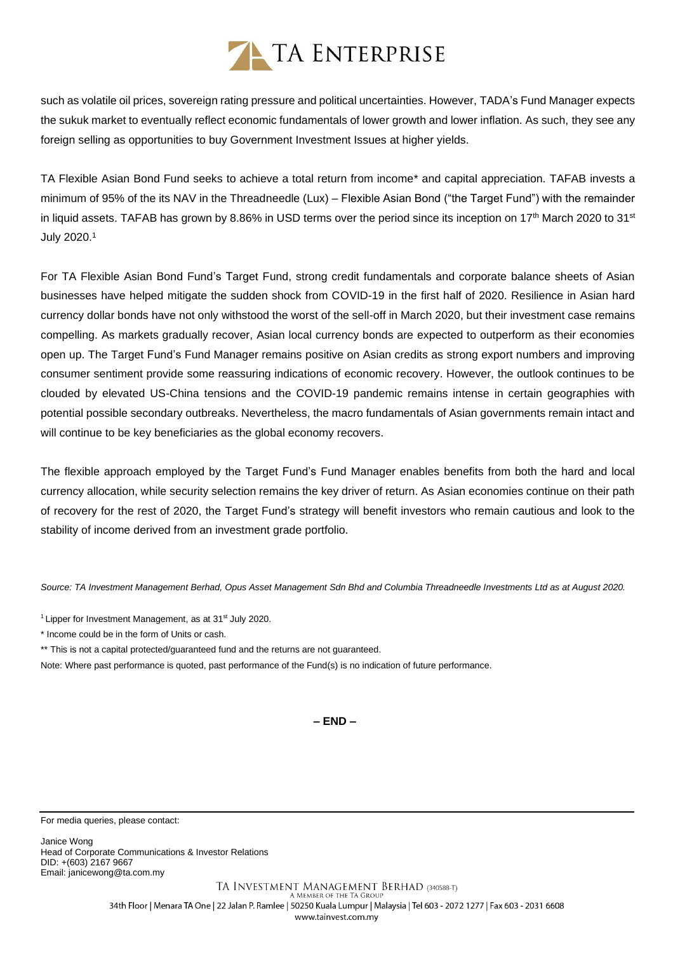## TA ENTERPRISE

such as volatile oil prices, sovereign rating pressure and political uncertainties. However, TADA's Fund Manager expects the sukuk market to eventually reflect economic fundamentals of lower growth and lower inflation. As such, they see any foreign selling as opportunities to buy Government Investment Issues at higher yields.

TA Flexible Asian Bond Fund seeks to achieve a total return from income\* and capital appreciation. TAFAB invests a minimum of 95% of the its NAV in the Threadneedle (Lux) – Flexible Asian Bond ("the Target Fund") with the remainder in liquid assets. TAFAB has grown by 8.86% in USD terms over the period since its inception on 17<sup>th</sup> March 2020 to 31<sup>st</sup> July 2020.<sup>1</sup>

For TA Flexible Asian Bond Fund's Target Fund, strong credit fundamentals and corporate balance sheets of Asian businesses have helped mitigate the sudden shock from COVID-19 in the first half of 2020. Resilience in Asian hard currency dollar bonds have not only withstood the worst of the sell-off in March 2020, but their investment case remains compelling. As markets gradually recover, Asian local currency bonds are expected to outperform as their economies open up. The Target Fund's Fund Manager remains positive on Asian credits as strong export numbers and improving consumer sentiment provide some reassuring indications of economic recovery. However, the outlook continues to be clouded by elevated US-China tensions and the COVID-19 pandemic remains intense in certain geographies with potential possible secondary outbreaks. Nevertheless, the macro fundamentals of Asian governments remain intact and will continue to be key beneficiaries as the global economy recovers.

The flexible approach employed by the Target Fund's Fund Manager enables benefits from both the hard and local currency allocation, while security selection remains the key driver of return. As Asian economies continue on their path of recovery for the rest of 2020, the Target Fund's strategy will benefit investors who remain cautious and look to the stability of income derived from an investment grade portfolio.

*Source: TA Investment Management Berhad, Opus Asset Management Sdn Bhd and Columbia Threadneedle Investments Ltd as at August 2020.*

<sup>1</sup> Lipper for Investment Management, as at  $31<sup>st</sup>$  July 2020.

\* Income could be in the form of Units or cash.

\*\* This is not a capital protected/guaranteed fund and the returns are not guaranteed.

Note: Where past performance is quoted, past performance of the Fund(s) is no indication of future performance.

**– END –**

For media queries, please contact:

Janice Wong Head of Corporate Communications & Investor Relations DID: +(603) 2167 9667 Email[: janicewong@ta.com.my](mailto:janicewong@ta.com.my)